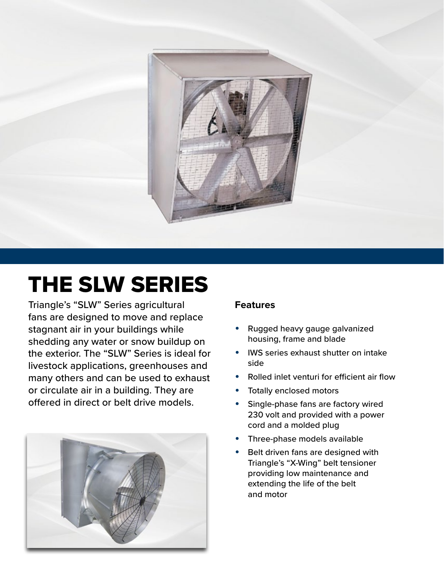

# THE SLW SERIES

Triangle's "SLW" Series agricultural fans are designed to move and replace stagnant air in your buildings while shedding any water or snow buildup on the exterior. The "SLW" Series is ideal for livestock applications, greenhouses and many others and can be used to exhaust or circulate air in a building. They are offered in direct or belt drive models.



#### **Features**

- Rugged heavy gauge galvanized housing, frame and blade
- IWS series exhaust shutter on intake side
- Rolled inlet venturi for efficient air flow
- Totally enclosed motors
- Single-phase fans are factory wired 230 volt and provided with a power cord and a molded plug
- Three-phase models available
- Belt driven fans are designed with Triangle's "X-Wing" belt tensioner providing low maintenance and extending the life of the belt and motor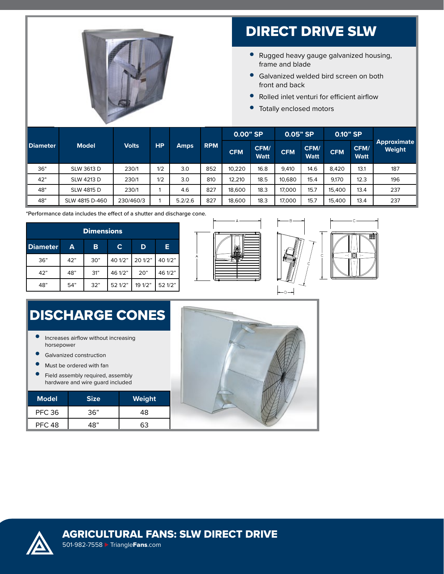

# DIRECT DRIVE SLW

- Rugged heavy gauge galvanized housing, frame and blade
- Galvanized welded bird screen on both front and back
- Rolled inlet venturi for efficient airflow
- Totally enclosed motors

|  | <b>Diameter</b> | <b>Model</b>   | <b>Volts</b> | HP. | <b>Amps</b> | <b>RPM</b> | $0.00"$ SP |                     | 0.05" SP   |                     | $0.10"$ SP |                     |                              |
|--|-----------------|----------------|--------------|-----|-------------|------------|------------|---------------------|------------|---------------------|------------|---------------------|------------------------------|
|  |                 |                |              |     |             |            | <b>CFM</b> | CFM/<br><b>Watt</b> | <b>CFM</b> | CFM/<br><b>Watt</b> | <b>CFM</b> | CFM/<br><b>Watt</b> | <b>Approximate</b><br>Weight |
|  | 36"             | SLW 3613 D     | 230/1        | 1/2 | 3.0         | 852        | 10,220     | 16.8                | 9,410      | 14.6                | 8.420      | 13.1                | 187                          |
|  | 42"             | SLW 4213 D     | 230/1        | 1/2 | 3.0         | 810        | 12.210     | 18.5                | 10,680     | 15.4                | 9.170      | 12.3                | 196                          |
|  | 48"             | SLW 4815 D     | 230/1        |     | 4.6         | 827        | 18,600     | 18.3                | 17,000     | 15.7                | 15,400     | 13.4                | 237                          |
|  | 48"             | SLW 4815 D-460 | 230/460/3    |     | 5.2/2.6     | 827        | 18,600     | 18.3                | 17,000     | 15.7                | 15,400     | 13.4                | 237                          |

\*Performance data includes the effect of a shutter and discharge cone.

| <b>Dimensions</b> |     |     |         |         |         |  |  |  |  |
|-------------------|-----|-----|---------|---------|---------|--|--|--|--|
| <b>Diameter</b>   | A   | B   | C       | D       | Е       |  |  |  |  |
| 36"               | 42" | 30" | 40 1/2" | 20 1/2" | 40 1/2" |  |  |  |  |
| 42"               | 48" | 31" | 46 1/2" | 20"     | 46 1/2" |  |  |  |  |
| 48"               | 54" | 32" | 52 1/2" | 19 1/2" | 52 1/2" |  |  |  |  |





# DISCHARGE CONES

- Increases airflow without increasing horsepower
- Galvanized construction
- Must be ordered with fan
- Field assembly required, assembly hardware and wire guard included

| <b>Model</b>  | <b>Size</b> | Weight |
|---------------|-------------|--------|
| <b>PFC 36</b> | 36"         | 48     |
| <b>PFC 48</b> | 48"         |        |





501-982-7558 ⊲ [Triangle](http://www.TriangleFans.com)Fans.com